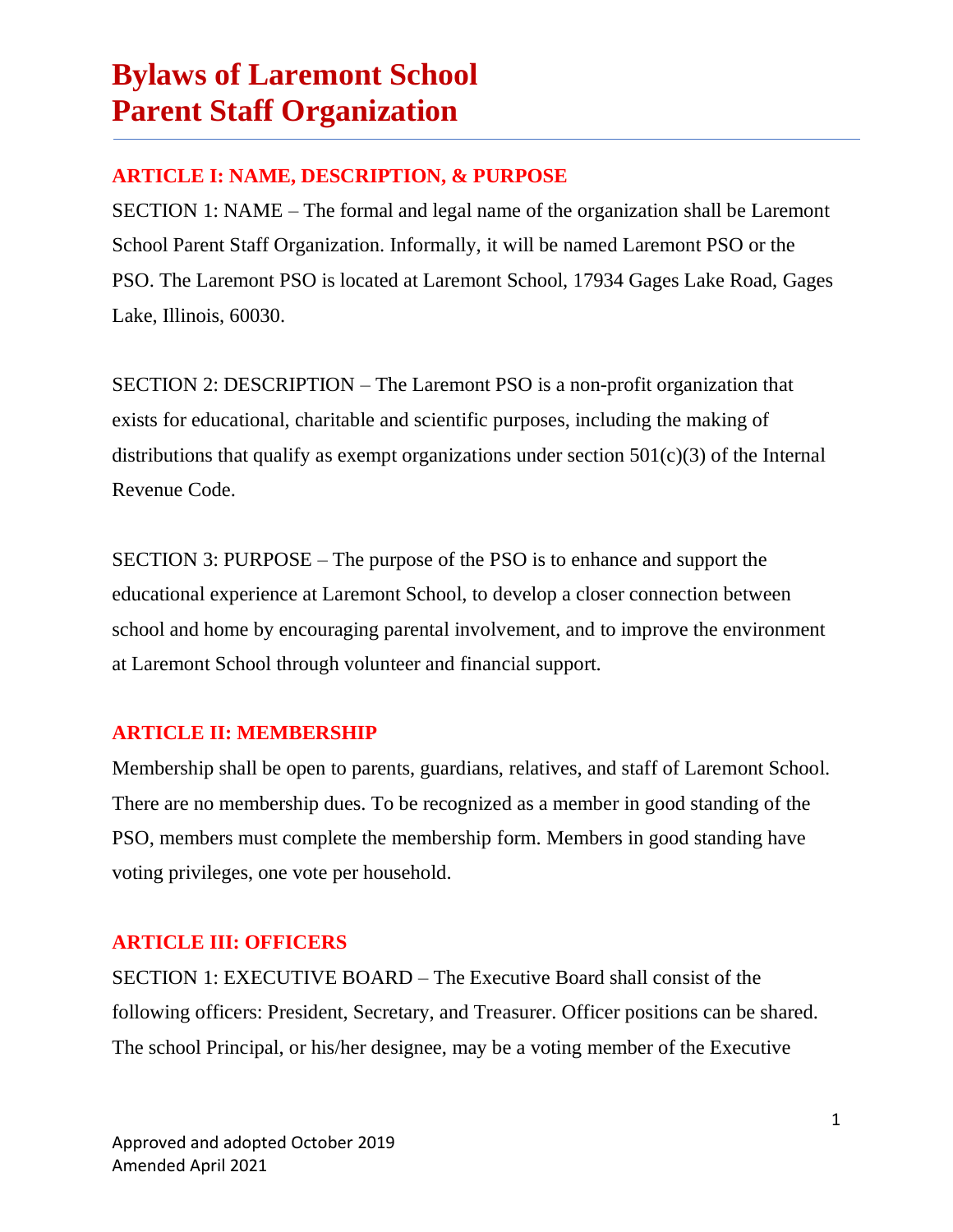### **ARTICLE I: NAME, DESCRIPTION, & PURPOSE**

SECTION 1: NAME – The formal and legal name of the organization shall be Laremont School Parent Staff Organization. Informally, it will be named Laremont PSO or the PSO. The Laremont PSO is located at Laremont School, 17934 Gages Lake Road, Gages Lake, Illinois, 60030.

SECTION 2: DESCRIPTION – The Laremont PSO is a non-profit organization that exists for educational, charitable and scientific purposes, including the making of distributions that qualify as exempt organizations under section  $501(c)(3)$  of the Internal Revenue Code.

SECTION 3: PURPOSE – The purpose of the PSO is to enhance and support the educational experience at Laremont School, to develop a closer connection between school and home by encouraging parental involvement, and to improve the environment at Laremont School through volunteer and financial support.

### **ARTICLE II: MEMBERSHIP**

Membership shall be open to parents, guardians, relatives, and staff of Laremont School. There are no membership dues. To be recognized as a member in good standing of the PSO, members must complete the membership form. Members in good standing have voting privileges, one vote per household.

### **ARTICLE III: OFFICERS**

SECTION 1: EXECUTIVE BOARD – The Executive Board shall consist of the following officers: President, Secretary, and Treasurer. Officer positions can be shared. The school Principal, or his/her designee, may be a voting member of the Executive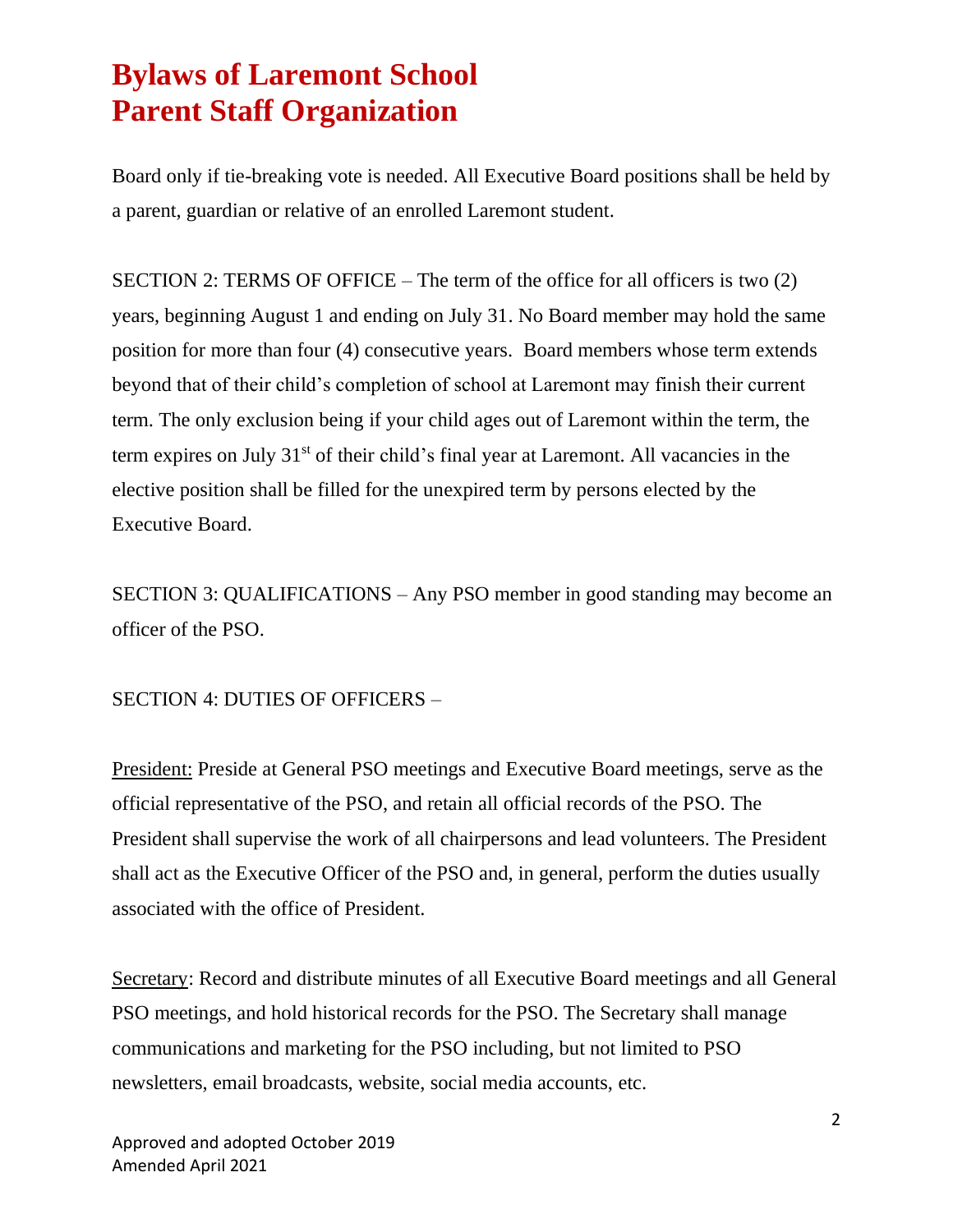Board only if tie-breaking vote is needed. All Executive Board positions shall be held by a parent, guardian or relative of an enrolled Laremont student.

SECTION 2: TERMS OF OFFICE – The term of the office for all officers is two (2) years, beginning August 1 and ending on July 31. No Board member may hold the same position for more than four (4) consecutive years. Board members whose term extends beyond that of their child's completion of school at Laremont may finish their current term. The only exclusion being if your child ages out of Laremont within the term, the term expires on July 31<sup>st</sup> of their child's final year at Laremont. All vacancies in the elective position shall be filled for the unexpired term by persons elected by the Executive Board.

SECTION 3: QUALIFICATIONS – Any PSO member in good standing may become an officer of the PSO.

SECTION 4: DUTIES OF OFFICERS –

President: Preside at General PSO meetings and Executive Board meetings, serve as the official representative of the PSO, and retain all official records of the PSO. The President shall supervise the work of all chairpersons and lead volunteers. The President shall act as the Executive Officer of the PSO and, in general, perform the duties usually associated with the office of President.

Secretary: Record and distribute minutes of all Executive Board meetings and all General PSO meetings, and hold historical records for the PSO. The Secretary shall manage communications and marketing for the PSO including, but not limited to PSO newsletters, email broadcasts, website, social media accounts, etc.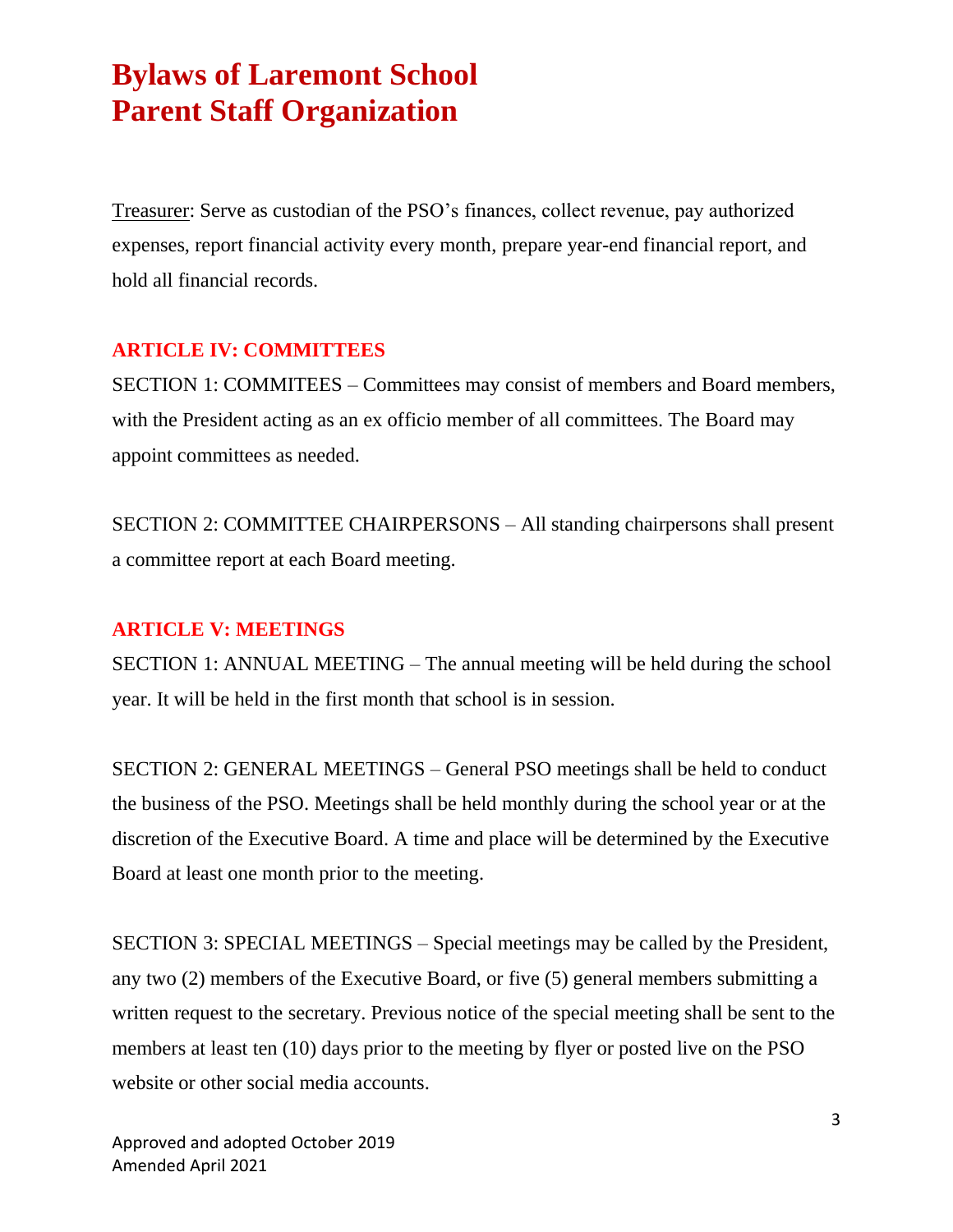Treasurer: Serve as custodian of the PSO's finances, collect revenue, pay authorized expenses, report financial activity every month, prepare year-end financial report, and hold all financial records.

#### **ARTICLE IV: COMMITTEES**

SECTION 1: COMMITEES – Committees may consist of members and Board members, with the President acting as an ex officio member of all committees. The Board may appoint committees as needed.

SECTION 2: COMMITTEE CHAIRPERSONS – All standing chairpersons shall present a committee report at each Board meeting.

#### **ARTICLE V: MEETINGS**

SECTION 1: ANNUAL MEETING – The annual meeting will be held during the school year. It will be held in the first month that school is in session.

SECTION 2: GENERAL MEETINGS – General PSO meetings shall be held to conduct the business of the PSO. Meetings shall be held monthly during the school year or at the discretion of the Executive Board. A time and place will be determined by the Executive Board at least one month prior to the meeting.

SECTION 3: SPECIAL MEETINGS – Special meetings may be called by the President, any two (2) members of the Executive Board, or five (5) general members submitting a written request to the secretary. Previous notice of the special meeting shall be sent to the members at least ten (10) days prior to the meeting by flyer or posted live on the PSO website or other social media accounts.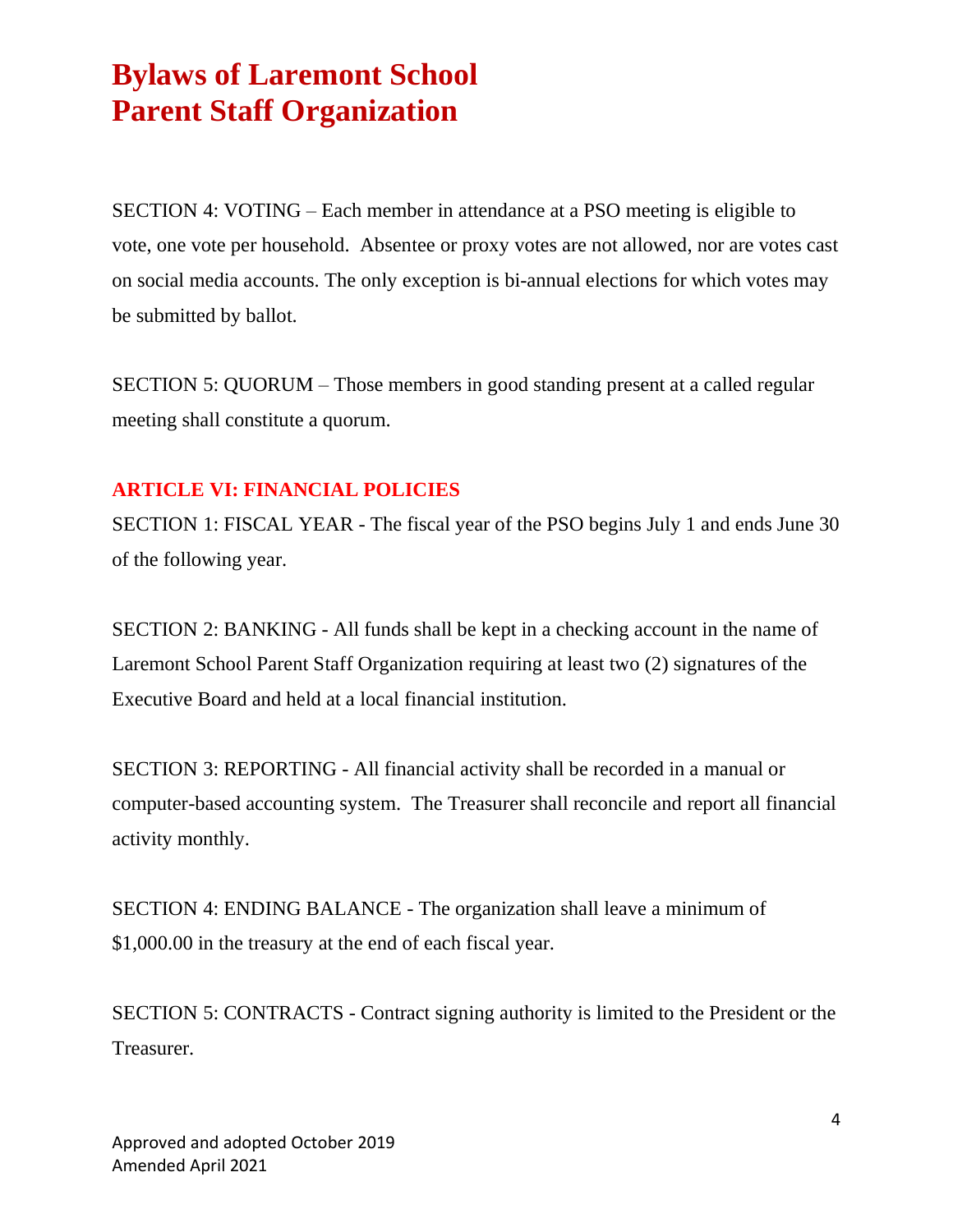SECTION 4: VOTING – Each member in attendance at a PSO meeting is eligible to vote, one vote per household. Absentee or proxy votes are not allowed, nor are votes cast on social media accounts. The only exception is bi-annual elections for which votes may be submitted by ballot.

SECTION 5: QUORUM – Those members in good standing present at a called regular meeting shall constitute a quorum.

#### **ARTICLE VI: FINANCIAL POLICIES**

SECTION 1: FISCAL YEAR - The fiscal year of the PSO begins July 1 and ends June 30 of the following year.

SECTION 2: BANKING - All funds shall be kept in a checking account in the name of Laremont School Parent Staff Organization requiring at least two (2) signatures of the Executive Board and held at a local financial institution.

SECTION 3: REPORTING - All financial activity shall be recorded in a manual or computer-based accounting system. The Treasurer shall reconcile and report all financial activity monthly.

SECTION 4: ENDING BALANCE - The organization shall leave a minimum of \$1,000.00 in the treasury at the end of each fiscal year.

SECTION 5: CONTRACTS - Contract signing authority is limited to the President or the Treasurer.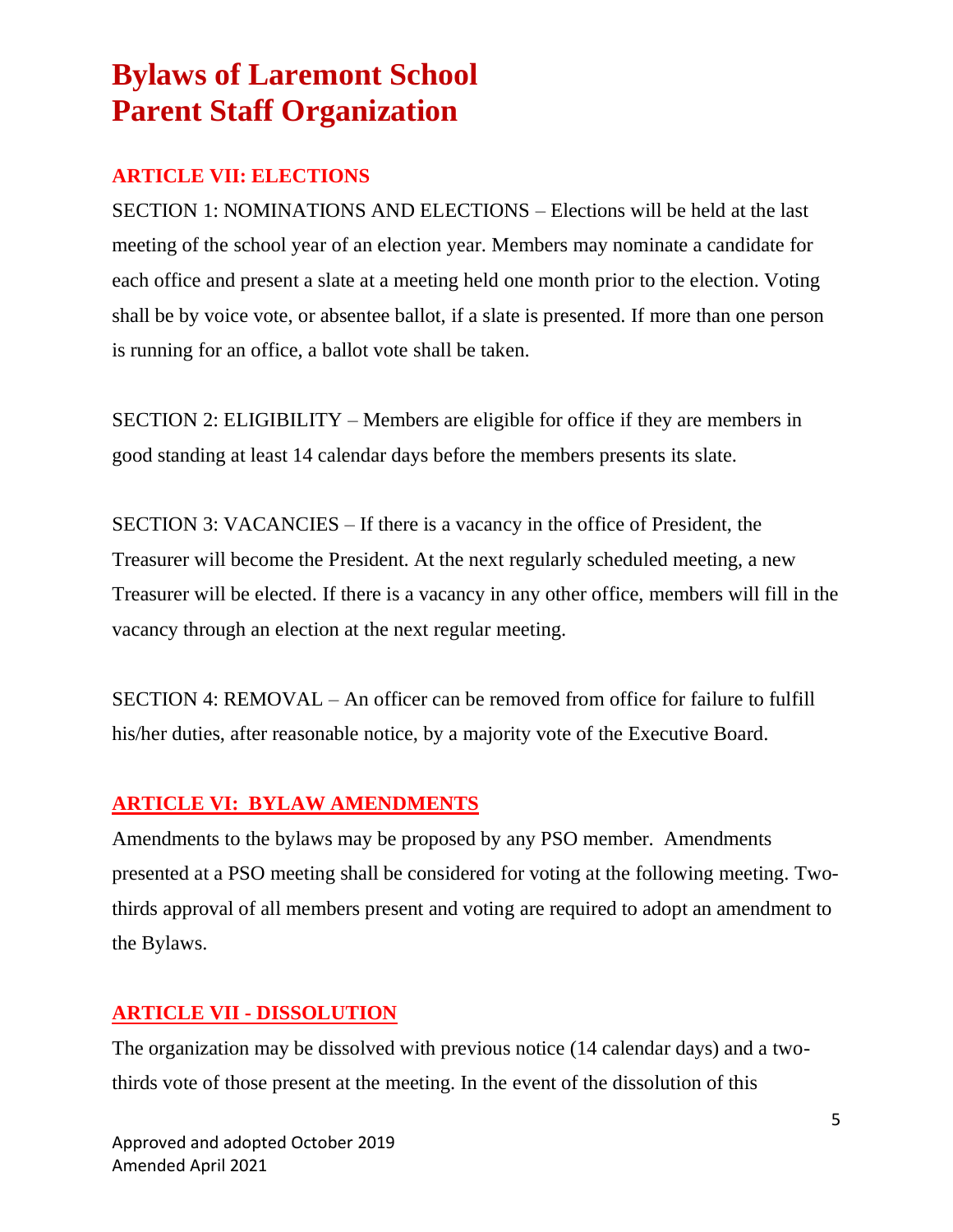### **ARTICLE VII: ELECTIONS**

SECTION 1: NOMINATIONS AND ELECTIONS – Elections will be held at the last meeting of the school year of an election year. Members may nominate a candidate for each office and present a slate at a meeting held one month prior to the election. Voting shall be by voice vote, or absentee ballot, if a slate is presented. If more than one person is running for an office, a ballot vote shall be taken.

SECTION 2: ELIGIBILITY – Members are eligible for office if they are members in good standing at least 14 calendar days before the members presents its slate.

SECTION 3: VACANCIES – If there is a vacancy in the office of President, the Treasurer will become the President. At the next regularly scheduled meeting, a new Treasurer will be elected. If there is a vacancy in any other office, members will fill in the vacancy through an election at the next regular meeting.

SECTION 4: REMOVAL – An officer can be removed from office for failure to fulfill his/her duties, after reasonable notice, by a majority vote of the Executive Board.

### **ARTICLE VI: BYLAW AMENDMENTS**

Amendments to the bylaws may be proposed by any PSO member. Amendments presented at a PSO meeting shall be considered for voting at the following meeting. Twothirds approval of all members present and voting are required to adopt an amendment to the Bylaws.

### **ARTICLE VII - DISSOLUTION**

The organization may be dissolved with previous notice (14 calendar days) and a twothirds vote of those present at the meeting. In the event of the dissolution of this